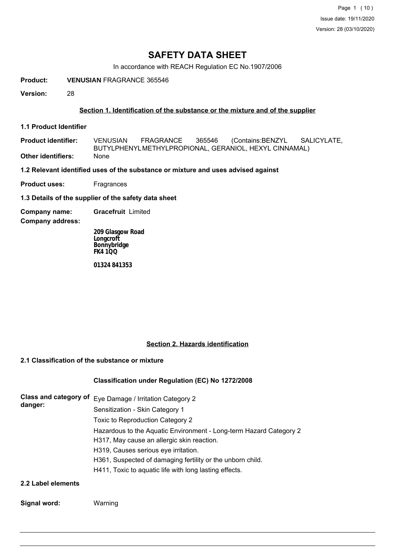Page 1 (10) Issue date: 19/11/2020 Version: 28 (03/10/2020)

# **SAFETY DATA SHEET**

In accordance with REACH Regulation EC No.1907/2006

**Product: VENUSIAN** FRAGRANCE 365546

**Version:** 28

# **Section 1. Identification of the substance or the mixture and of the supplier**

**1.1 Product Identifier**

**Product identifier: Other identifiers:** None VENUSIAN FRAGRANCE 365546 (Contains:BENZYL SALICYLATE, BUTYLPHENYLMETHYLPROPIONAL, GERANIOL, HEXYL CINNAMAL)

**1.2 Relevant identified uses of the substance or mixture and uses advised against**

**Product uses:** Fragrances

**1.3 Details of the supplier of the safety data sheet**

**Company name: Gracefruit** Limited

**Company address:**

**209 Glasgow Road Longcroft Bonnybridge FK4 1QQ**

**01324 841353**

## **Section 2. Hazards identification**

# **2.1 Classification of the substance or mixture**

## **Classification under Regulation (EC) No 1272/2008**

| Class and category of<br>danger: | Eye Damage / Irritation Category 2                                                                               |
|----------------------------------|------------------------------------------------------------------------------------------------------------------|
|                                  | Sensitization - Skin Category 1                                                                                  |
|                                  | Toxic to Reproduction Category 2                                                                                 |
|                                  | Hazardous to the Aquatic Environment - Long-term Hazard Category 2<br>H317, May cause an allergic skin reaction. |
|                                  | H319, Causes serious eye irritation.                                                                             |
|                                  | H361, Suspected of damaging fertility or the unborn child.                                                       |
|                                  | H411, Toxic to aquatic life with long lasting effects.                                                           |
| 2.2 Label elements               |                                                                                                                  |

#### **Signal word:** Warning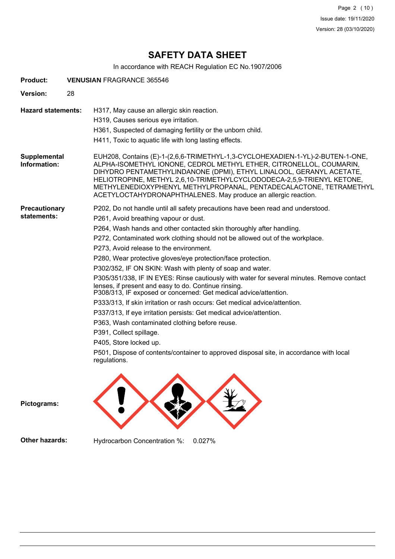Page 2 (10) Issue date: 19/11/2020 Version: 28 (03/10/2020)

# **SAFETY DATA SHEET**

In accordance with REACH Regulation EC No.1907/2006

| <b>Product:</b>              |    | <b>VENUSIAN FRAGRANCE 365546</b>                                                                                                                                                                                                                                                                                                                                                                                                                                                                                                                                                                                                                                                                                                                                                                                                                                                                                                                                                                                                                         |
|------------------------------|----|----------------------------------------------------------------------------------------------------------------------------------------------------------------------------------------------------------------------------------------------------------------------------------------------------------------------------------------------------------------------------------------------------------------------------------------------------------------------------------------------------------------------------------------------------------------------------------------------------------------------------------------------------------------------------------------------------------------------------------------------------------------------------------------------------------------------------------------------------------------------------------------------------------------------------------------------------------------------------------------------------------------------------------------------------------|
| <b>Version:</b>              | 28 |                                                                                                                                                                                                                                                                                                                                                                                                                                                                                                                                                                                                                                                                                                                                                                                                                                                                                                                                                                                                                                                          |
| <b>Hazard statements:</b>    |    | H317, May cause an allergic skin reaction.<br>H319, Causes serious eye irritation.<br>H361, Suspected of damaging fertility or the unborn child.<br>H411, Toxic to aquatic life with long lasting effects.                                                                                                                                                                                                                                                                                                                                                                                                                                                                                                                                                                                                                                                                                                                                                                                                                                               |
| Supplemental<br>Information: |    | EUH208, Contains (E)-1-(2,6,6-TRIMETHYL-1,3-CYCLOHEXADIEN-1-YL)-2-BUTEN-1-ONE,<br>ALPHA-ISOMETHYL IONONE, CEDROL METHYL ETHER, CITRONELLOL, COUMARIN,<br>DIHYDRO PENTAMETHYLINDANONE (DPMI), ETHYL LINALOOL, GERANYL ACETATE,<br>HELIOTROPINE, METHYL 2,6,10-TRIMETHYLCYCLODODECA-2,5,9-TRIENYL KETONE,<br>METHYLENEDIOXYPHENYL METHYLPROPANAL, PENTADECALACTONE, TETRAMETHYL<br>ACETYLOCTAHYDRONAPHTHALENES. May produce an allergic reaction.                                                                                                                                                                                                                                                                                                                                                                                                                                                                                                                                                                                                          |
| Precautionary<br>statements: |    | P202, Do not handle until all safety precautions have been read and understood.<br>P261, Avoid breathing vapour or dust.<br>P264, Wash hands and other contacted skin thoroughly after handling.<br>P272, Contaminated work clothing should not be allowed out of the workplace.<br>P273, Avoid release to the environment.<br>P280, Wear protective gloves/eye protection/face protection.<br>P302/352, IF ON SKIN: Wash with plenty of soap and water.<br>P305/351/338, IF IN EYES: Rinse cautiously with water for several minutes. Remove contact<br>lenses, if present and easy to do. Continue rinsing.<br>P308/313, IF exposed or concerned: Get medical advice/attention.<br>P333/313, If skin irritation or rash occurs: Get medical advice/attention.<br>P337/313, If eye irritation persists: Get medical advice/attention.<br>P363, Wash contaminated clothing before reuse.<br>P391, Collect spillage.<br>P405, Store locked up.<br>P501, Dispose of contents/container to approved disposal site, in accordance with local<br>regulations. |
| Pictograms:                  |    |                                                                                                                                                                                                                                                                                                                                                                                                                                                                                                                                                                                                                                                                                                                                                                                                                                                                                                                                                                                                                                                          |
| Other hazards:               |    | Hydrocarbon Concentration %:<br>0.027%                                                                                                                                                                                                                                                                                                                                                                                                                                                                                                                                                                                                                                                                                                                                                                                                                                                                                                                                                                                                                   |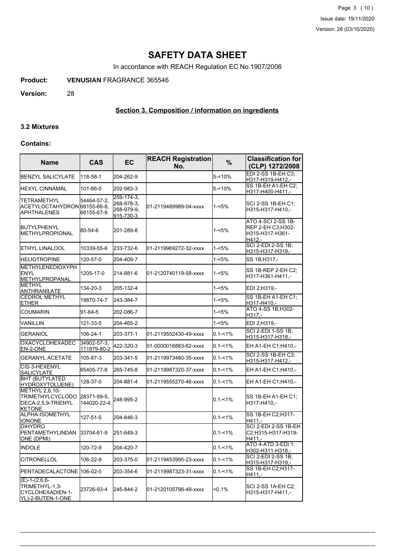Page 3 (10) Issue date: 19/11/2020 Version: 28 (03/10/2020)

# **SAFETY DATA SHEET**

In accordance with REACH Regulation EC No.1907/2006

**Product: VENUSIAN** FRAGRANCE 365546

**Version:** 28

# **Section 3. Composition / information on ingredients**

#### **3.2 Mixtures**

#### **Contains:**

| <b>Name</b>                                                                | <b>CAS</b>                 | EC                                                  | <b>REACH Registration</b><br>No. | $\frac{9}{6}$ | <b>Classification for</b><br>(CLP) 1272/2008                         |
|----------------------------------------------------------------------------|----------------------------|-----------------------------------------------------|----------------------------------|---------------|----------------------------------------------------------------------|
| <b>BENZYL SALICYLATE</b>                                                   | 118-58-1                   | 204-262-9                                           |                                  | 5-<10%        | EDI 2-SS 1B-EH C3:<br>H317-H319-H412,-                               |
| IHEXYL CINNAMAL                                                            | 101-86-0                   | 202-983-3                                           |                                  | $5 - 10%$     | SS 1B-EH A1-EH C2;<br>H317-H400-H411,-                               |
| TETRAMETHYL<br>ACETYLOCTAHYDRON 68155-66-8,<br>APHTHALENES                 | 54464-57-2,<br>68155-67-9  | 259-174-3.<br>268-978-3.<br>268-979-9.<br>915-730-3 | 01-2119489989-04-xxxx            | 1-<5%         | SCI 2-SS 1B-EH C1;<br>H315-H317-H410,-                               |
| <b>BUTYLPHENYL</b><br>METHYLPROPIONAL                                      | 80-54-6                    | 201-289-8                                           |                                  | 1-<5%         | ATO 4-SCI 2-SS 1B-<br>REP 2-EH C3;H302-<br>H315-H317-H361-<br>H412,- |
| ETHYL LINALOOL                                                             | 10339-55-6                 | 233-732-6                                           | 01-2119969272-32-xxxx            | 1-<5%         | <b>SCI 2-EDI 2-SS 1B:</b><br>H315-H317-H319,-                        |
| <b>HELIOTROPINE</b>                                                        | 120-57-0                   | 204-409-7                                           |                                  | $1 - 5%$      | SS 1B;H317,-                                                         |
| METHYLENEDIOXYPH<br>ENYL<br>METHYLPROPANAL                                 | 1205-17-0                  | 214-881-6                                           | l01-2120740119-58-xxxx           | 1-<5%         | SS 1B-REP 2-EH C2;<br>H317-H361-H411,-                               |
| <b>METHYL</b><br>ANTHRANILATE                                              | 134-20-3                   | 205-132-4                                           |                                  | $1 - 5%$      | EDI 2;H319,-                                                         |
| <b>CEDROL METHYL</b><br>ETHER                                              | 19870-74-7                 | 243-384-7                                           |                                  | $1 - 5%$      | SS 1B-EH A1-EH C1;<br>H317-H410.-                                    |
| <b>COUMARIN</b>                                                            | 91-64-5                    | 202-086-7                                           |                                  | $1 - 5%$      | ATO 4-SS 1B;H302-<br>H317.-                                          |
| VANILLIN                                                                   | 121-33-5                   | 204-465-2                                           |                                  | $1 - 5%$      | EDI 2;H319,-                                                         |
| <b>GERANIOL</b>                                                            | 106-24-1                   | 203-377-1                                           | 01-2119552430-49-xxxx            | $0.1 - 1%$    | <b>SCI 2-EDI 1-SS 1B:</b><br>H315-H317-H318,-                        |
| <b>OXACYCLOHEXADEC</b><br>EN-2-ONE                                         | 34902-57-3.<br>111879-80-2 | 422-320-3                                           | 01-0000016883-62-xxxx            | $0.1 - 1%$    | EH A1-EH C1;H410,-                                                   |
| <b>GERANYL ACETATE</b>                                                     | 105-87-3                   | 203-341-5                                           | 01-2119973480-35-xxxx            | $0.1 - 1\%$   | SCI 2-SS 1B-EH C3;<br>H315-H317-H412,-                               |
| CIS-3-HEXENYL<br>SALICYLATE                                                | 65405-77-8                 | 265-745-8                                           | 01-2119987320-37-xxxx            | $0.1 - 1\%$   | EH A1-EH C1; H410,-                                                  |
| <b>BHT (BUTYLATED</b><br>HYDROXYTOLUENE)                                   | 128-37-0                   | 204-881-4                                           | 01-2119555270-46-xxxx            | $0.1 - 1%$    | EH A1-EH C1;H410,-                                                   |
| METHYL 2,6,10-<br>TRIMETHYLCYCLODO<br>DECA-2,5,9-TRIENYL<br><b>KETONE</b>  | 28371-99-5,<br>144020-22-4 | 248-995-2                                           |                                  | $0.1 - 1\%$   | SS 1B-EH A1-EH C1:<br>H317-H410,-                                    |
| ALPHA-ISOMETHYL<br><b>IONONE</b>                                           | 127-51-5                   | 204-846-3                                           |                                  | $0.1 - 1%$    | SS 1B-EH C2;H317-<br>H411,-                                          |
| <b>DIHYDRO</b><br>PENTAMETHYLINDAN<br>ONE (DPMI)                           | 33704-61-9                 | 251-649-3                                           |                                  | $0.1 - 1%$    | SCI 2-EDI 2-SS 1B-EH<br>C2;H315-H317-H319-<br>$H411. -$              |
| INDOLE                                                                     | 120-72-9                   | 204-420-7                                           |                                  | $0.1 - 1\%$   | ATO 4-ATD 3-EDI 1;<br><u>H302-H311-H318,-</u>                        |
| <b>CITRONELLOL</b>                                                         | 106-22-9                   | 203-375-0                                           | 01-2119453995-23-xxxx            | $0.1 - 1\%$   | SCI 2-EDI 2-SS 1B;<br>H315-H317-H319,-                               |
| PENTADECALACTONE 106-02-5                                                  |                            | 203-354-6                                           | 01-2119987323-31-xxxx            | $0.1 - 1\%$   | SS 1B-EH C2;H317-<br>H411.-                                          |
| $(E)-1-(2,6,6-$<br>TRIMETHYL-1,3-<br>CYCLOHEXADIEN-1-<br>YL)-2-BUTEN-1-ONE | 23726-93-4                 | 245-844-2                                           | 01-2120105798-49-xxxx            | $< 0.1\%$     | SCI 2-SS 1A-EH C2:<br>H315-H317-H411,-                               |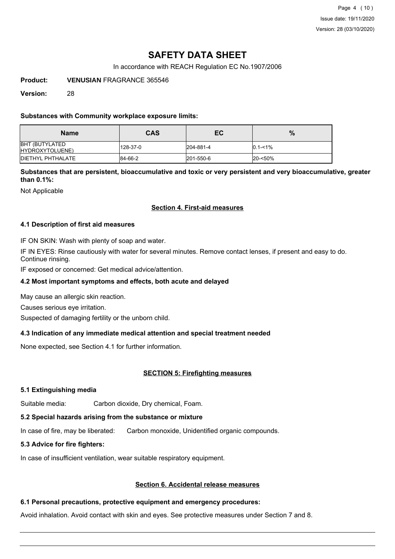Page 4 (10) Issue date: 19/11/2020 Version: 28 (03/10/2020)

# **SAFETY DATA SHEET**

In accordance with REACH Regulation EC No.1907/2006

**Product: VENUSIAN** FRAGRANCE 365546

**Version:** 28

# **Substances with Community workplace exposure limits:**

| <b>Name</b>                              | <b>CAS</b> | EC        | $\%$        |
|------------------------------------------|------------|-----------|-------------|
| <b>BHT (BUTYLATED</b><br>HYDROXYTOLUENE) | 128-37-0   | 204-881-4 | $0.1 - 1\%$ |
| <b>IDIETHYL PHTHALATE</b>                | 84-66-2    | 201-550-6 | 20-<50%     |

**Substances that are persistent, bioaccumulative and toxic or very persistent and very bioaccumulative, greater than 0.1%:**

Not Applicable

# **Section 4. First-aid measures**

## **4.1 Description of first aid measures**

IF ON SKIN: Wash with plenty of soap and water.

IF IN EYES: Rinse cautiously with water for several minutes. Remove contact lenses, if present and easy to do. Continue rinsing.

IF exposed or concerned: Get medical advice/attention.

## **4.2 Most important symptoms and effects, both acute and delayed**

May cause an allergic skin reaction.

Causes serious eye irritation.

Suspected of damaging fertility or the unborn child.

## **4.3 Indication of any immediate medical attention and special treatment needed**

None expected, see Section 4.1 for further information.

## **SECTION 5: Firefighting measures**

## **5.1 Extinguishing media**

Suitable media: Carbon dioxide, Dry chemical, Foam.

# **5.2 Special hazards arising from the substance or mixture**

In case of fire, may be liberated: Carbon monoxide, Unidentified organic compounds.

# **5.3 Advice for fire fighters:**

In case of insufficient ventilation, wear suitable respiratory equipment.

# **Section 6. Accidental release measures**

# **6.1 Personal precautions, protective equipment and emergency procedures:**

Avoid inhalation. Avoid contact with skin and eyes. See protective measures under Section 7 and 8.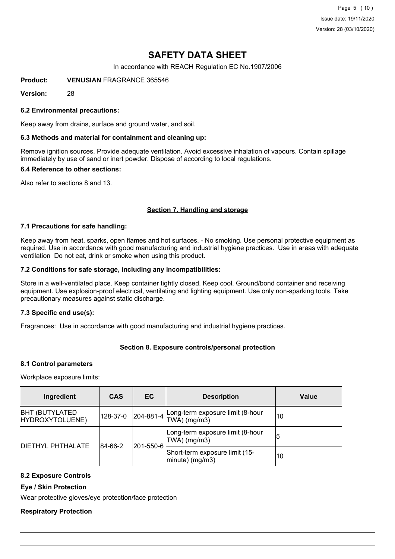Page 5 (10) Issue date: 19/11/2020 Version: 28 (03/10/2020)

# **SAFETY DATA SHEET**

In accordance with REACH Regulation EC No.1907/2006

**Product: VENUSIAN** FRAGRANCE 365546

**Version:** 28

### **6.2 Environmental precautions:**

Keep away from drains, surface and ground water, and soil.

### **6.3 Methods and material for containment and cleaning up:**

Remove ignition sources. Provide adequate ventilation. Avoid excessive inhalation of vapours. Contain spillage immediately by use of sand or inert powder. Dispose of according to local regulations.

#### **6.4 Reference to other sections:**

Also refer to sections 8 and 13.

## **Section 7. Handling and storage**

#### **7.1 Precautions for safe handling:**

Keep away from heat, sparks, open flames and hot surfaces. - No smoking. Use personal protective equipment as required. Use in accordance with good manufacturing and industrial hygiene practices. Use in areas with adequate ventilation Do not eat, drink or smoke when using this product.

#### **7.2 Conditions for safe storage, including any incompatibilities:**

Store in a well-ventilated place. Keep container tightly closed. Keep cool. Ground/bond container and receiving equipment. Use explosion-proof electrical, ventilating and lighting equipment. Use only non-sparking tools. Take precautionary measures against static discharge.

## **7.3 Specific end use(s):**

Fragrances: Use in accordance with good manufacturing and industrial hygiene practices.

# **Section 8. Exposure controls/personal protection**

#### **8.1 Control parameters**

Workplace exposure limits:

| Ingredient                                | <b>CAS</b> | EC.               | <b>Description</b>                                   | Value |
|-------------------------------------------|------------|-------------------|------------------------------------------------------|-------|
| <b>BHT (BUTYLATED)</b><br>HYDROXYTOLUENE) | 128-37-0   | $ 204 - 881 - 4 $ | Long-term exposure limit (8-hour<br>$TWA)$ (mg/m3)   | 10    |
|                                           | 84-66-2    | 201-550-6         | Long-term exposure limit (8-hour<br>$TWA)$ (mg/m3)   | 5     |
| <b>DIETHYL PHTHALATE</b>                  |            |                   | Short-term exposure limit (15-<br>$ minute)$ (mg/m3) | 10    |

## **8.2 Exposure Controls**

**Eye / Skin Protection**

Wear protective gloves/eye protection/face protection

## **Respiratory Protection**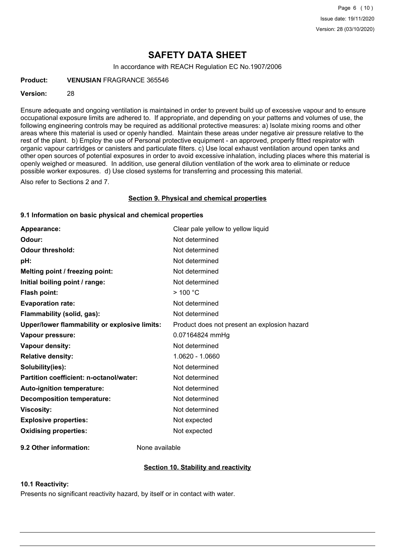# **SAFETY DATA SHEET**

In accordance with REACH Regulation EC No.1907/2006

**Product: VENUSIAN** FRAGRANCE 365546

#### **Version:** 28

Ensure adequate and ongoing ventilation is maintained in order to prevent build up of excessive vapour and to ensure occupational exposure limits are adhered to. If appropriate, and depending on your patterns and volumes of use, the following engineering controls may be required as additional protective measures: a) Isolate mixing rooms and other areas where this material is used or openly handled. Maintain these areas under negative air pressure relative to the rest of the plant. b) Employ the use of Personal protective equipment - an approved, properly fitted respirator with organic vapour cartridges or canisters and particulate filters. c) Use local exhaust ventilation around open tanks and other open sources of potential exposures in order to avoid excessive inhalation, including places where this material is openly weighed or measured. In addition, use general dilution ventilation of the work area to eliminate or reduce possible worker exposures. d) Use closed systems for transferring and processing this material.

Also refer to Sections 2 and 7.

#### **Section 9. Physical and chemical properties**

### **9.1 Information on basic physical and chemical properties**

| Appearance:                                   | Clear pale yellow to yellow liquid           |
|-----------------------------------------------|----------------------------------------------|
| Odour:                                        | Not determined                               |
| <b>Odour threshold:</b>                       | Not determined                               |
| pH:                                           | Not determined                               |
| Melting point / freezing point:               | Not determined                               |
| Initial boiling point / range:                | Not determined                               |
| Flash point:                                  | $>$ 100 °C                                   |
| <b>Evaporation rate:</b>                      | Not determined                               |
| Flammability (solid, gas):                    | Not determined                               |
| Upper/lower flammability or explosive limits: | Product does not present an explosion hazard |
| Vapour pressure:                              | 0.07164824 mmHg                              |
| <b>Vapour density:</b>                        | Not determined                               |
| <b>Relative density:</b>                      | 1.0620 - 1.0660                              |
| Solubility(ies):                              | Not determined                               |
| Partition coefficient: n-octanol/water:       | Not determined                               |
| Auto-ignition temperature:                    | Not determined                               |
| <b>Decomposition temperature:</b>             | Not determined                               |
| <b>Viscosity:</b>                             | Not determined                               |
| <b>Explosive properties:</b>                  | Not expected                                 |
| <b>Oxidising properties:</b>                  | Not expected                                 |
|                                               |                                              |

**9.2 Other information:** None available

## **Section 10. Stability and reactivity**

#### **10.1 Reactivity:**

Presents no significant reactivity hazard, by itself or in contact with water.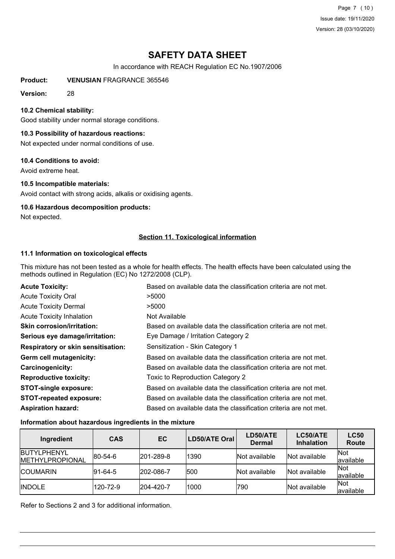Page 7 (10) Issue date: 19/11/2020 Version: 28 (03/10/2020)

# **SAFETY DATA SHEET**

In accordance with REACH Regulation EC No.1907/2006

**Product: VENUSIAN** FRAGRANCE 365546

**Version:** 28

### **10.2 Chemical stability:**

Good stability under normal storage conditions.

## **10.3 Possibility of hazardous reactions:**

Not expected under normal conditions of use.

#### **10.4 Conditions to avoid:**

Avoid extreme heat.

#### **10.5 Incompatible materials:**

Avoid contact with strong acids, alkalis or oxidising agents.

# **10.6 Hazardous decomposition products:**

Not expected.

# **Section 11. Toxicological information**

## **11.1 Information on toxicological effects**

This mixture has not been tested as a whole for health effects. The health effects have been calculated using the methods outlined in Regulation (EC) No 1272/2008 (CLP).

| <b>Acute Toxicity:</b>                    | Based on available data the classification criteria are not met. |
|-------------------------------------------|------------------------------------------------------------------|
| <b>Acute Toxicity Oral</b>                | >5000                                                            |
| <b>Acute Toxicity Dermal</b>              | >5000                                                            |
| <b>Acute Toxicity Inhalation</b>          | Not Available                                                    |
| <b>Skin corrosion/irritation:</b>         | Based on available data the classification criteria are not met. |
| Serious eye damage/irritation:            | Eye Damage / Irritation Category 2                               |
| <b>Respiratory or skin sensitisation:</b> | Sensitization - Skin Category 1                                  |
| Germ cell mutagenicity:                   | Based on available data the classification criteria are not met. |
| <b>Carcinogenicity:</b>                   | Based on available data the classification criteria are not met. |
| <b>Reproductive toxicity:</b>             | Toxic to Reproduction Category 2                                 |
| <b>STOT-single exposure:</b>              | Based on available data the classification criteria are not met. |
| <b>STOT-repeated exposure:</b>            | Based on available data the classification criteria are not met. |
| <b>Aspiration hazard:</b>                 | Based on available data the classification criteria are not met. |

#### **Information about hazardous ingredients in the mixture**

| Ingredient                                     | <b>CAS</b>      | EC                | LD50/ATE Oral | LD50/ATE<br><b>Dermal</b> | LC50/ATE<br><b>Inhalation</b> | <b>LC50</b><br><b>Route</b> |
|------------------------------------------------|-----------------|-------------------|---------------|---------------------------|-------------------------------|-----------------------------|
| <b>IBUTYLPHENYL</b><br><b>IMETHYLPROPIONAL</b> | $ 80-54-6 $     | $ 201 - 289 - 8 $ | 1390          | Not available             | Not available                 | <b>Not</b><br>available     |
| <b>COUMARIN</b>                                | $ 91 - 64 - 5 $ | 202-086-7         | 500           | Not available             | Not available                 | Not<br>available            |
| <b>INDOLE</b>                                  | 120-72-9        | $ 204 - 420 - 7$  | 1000          | 790                       | Not available                 | Not<br>available            |

Refer to Sections 2 and 3 for additional information.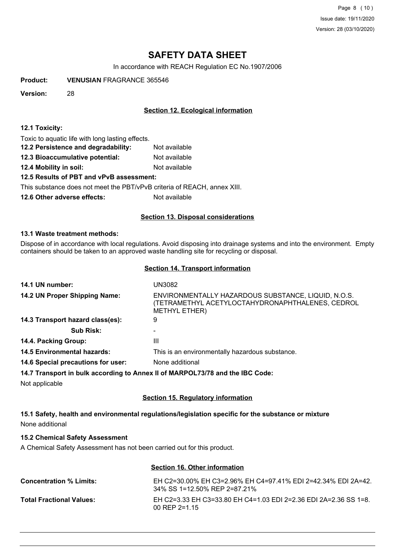Page 8 (10) Issue date: 19/11/2020 Version: 28 (03/10/2020)

# **SAFETY DATA SHEET**

In accordance with REACH Regulation EC No.1907/2006

**Product: VENUSIAN** FRAGRANCE 365546

**Version:** 28

# **Section 12. Ecological information**

#### **12.1 Toxicity:**

Toxic to aquatic life with long lasting effects.

- **12.2 Persistence and degradability:** Not available
- **12.3 Bioaccumulative potential:** Not available
- **12.4 Mobility in soil:** Not available

## **12.5 Results of PBT and vPvB assessment:**

This substance does not meet the PBT/vPvB criteria of REACH, annex XIII.

**12.6 Other adverse effects:** Not available

# **Section 13. Disposal considerations**

#### **13.1 Waste treatment methods:**

Dispose of in accordance with local regulations. Avoid disposing into drainage systems and into the environment. Empty containers should be taken to an approved waste handling site for recycling or disposal.

#### **Section 14. Transport information**

| 14.1 UN number:                                                               | <b>UN3082</b>                                                                                                                   |
|-------------------------------------------------------------------------------|---------------------------------------------------------------------------------------------------------------------------------|
| 14.2 UN Proper Shipping Name:                                                 | ENVIRONMENTALLY HAZARDOUS SUBSTANCE, LIQUID, N.O.S.<br>(TETRAMETHYL ACETYLOCTAHYDRONAPHTHALENES, CEDROL<br><b>METHYL ETHER)</b> |
| 14.3 Transport hazard class(es):                                              | 9                                                                                                                               |
| <b>Sub Risk:</b>                                                              |                                                                                                                                 |
| 14.4. Packing Group:                                                          | Ш                                                                                                                               |
| <b>14.5 Environmental hazards:</b>                                            | This is an environmentally hazardous substance.                                                                                 |
| 14.6 Special precautions for user:                                            | None additional                                                                                                                 |
| 14.7 Transport in bulk according to Annex II of MARPOL73/78 and the IBC Code: |                                                                                                                                 |
| Not applicable                                                                |                                                                                                                                 |

## **Section 15. Regulatory information**

**15.1 Safety, health and environmental regulations/legislation specific for the substance or mixture** None additional

# **15.2 Chemical Safety Assessment**

A Chemical Safety Assessment has not been carried out for this product.

# **Section 16. Other information**

| <b>Concentration % Limits:</b>  | FH C2=30 00% FH C3=2 96% FH C4=97 41% FDL 2=42 34% FDL 2A=42<br>34% SS 1=12.50% REP 2=87.21% |
|---------------------------------|----------------------------------------------------------------------------------------------|
| <b>Total Fractional Values:</b> | EH C2=3.33 EH C3=33.80 EH C4=1.03 EDI 2=2.36 EDI 2A=2.36 SS 1=8.<br>$00$ REP 2=1.15          |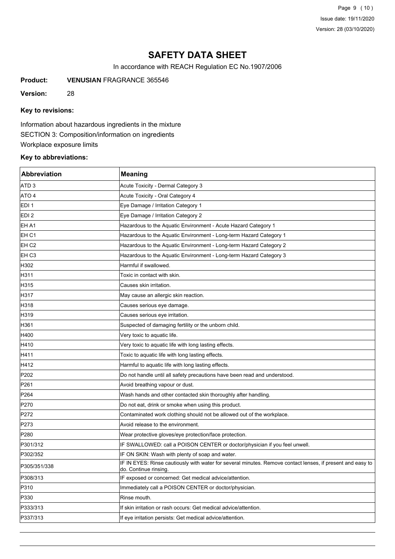Page 9 (10) Issue date: 19/11/2020 Version: 28 (03/10/2020)

# **SAFETY DATA SHEET**

In accordance with REACH Regulation EC No.1907/2006

**Product: VENUSIAN** FRAGRANCE 365546

**Version:** 28

# **Key to revisions:**

Information about hazardous ingredients in the mixture SECTION 3: Composition/information on ingredients Workplace exposure limits

# **Key to abbreviations:**

| <b>Abbreviation</b> | <b>Meaning</b>                                                                                                                      |
|---------------------|-------------------------------------------------------------------------------------------------------------------------------------|
| ATD <sub>3</sub>    | Acute Toxicity - Dermal Category 3                                                                                                  |
| ATO 4               | Acute Toxicity - Oral Category 4                                                                                                    |
| EDI <sub>1</sub>    | Eye Damage / Irritation Category 1                                                                                                  |
| EDI <sub>2</sub>    | Eye Damage / Irritation Category 2                                                                                                  |
| EH A1               | Hazardous to the Aquatic Environment - Acute Hazard Category 1                                                                      |
| EH <sub>C1</sub>    | Hazardous to the Aquatic Environment - Long-term Hazard Category 1                                                                  |
| EH C2               | Hazardous to the Aquatic Environment - Long-term Hazard Category 2                                                                  |
| EH <sub>C3</sub>    | Hazardous to the Aquatic Environment - Long-term Hazard Category 3                                                                  |
| H302                | Harmful if swallowed.                                                                                                               |
| H311                | Toxic in contact with skin.                                                                                                         |
| H315                | Causes skin irritation.                                                                                                             |
| H317                | May cause an allergic skin reaction.                                                                                                |
| H318                | Causes serious eye damage.                                                                                                          |
| H319                | Causes serious eye irritation.                                                                                                      |
| H361                | Suspected of damaging fertility or the unborn child.                                                                                |
| H400                | Very toxic to aquatic life.                                                                                                         |
| H410                | Very toxic to aquatic life with long lasting effects.                                                                               |
| H411                | Toxic to aquatic life with long lasting effects.                                                                                    |
| H412                | Harmful to aquatic life with long lasting effects.                                                                                  |
| P202                | Do not handle until all safety precautions have been read and understood.                                                           |
| P261                | Avoid breathing vapour or dust.                                                                                                     |
| P264                | Wash hands and other contacted skin thoroughly after handling.                                                                      |
| P270                | Do not eat, drink or smoke when using this product.                                                                                 |
| P272                | Contaminated work clothing should not be allowed out of the workplace.                                                              |
| P273                | Avoid release to the environment.                                                                                                   |
| P280                | Wear protective gloves/eye protection/face protection.                                                                              |
| P301/312            | IF SWALLOWED: call a POISON CENTER or doctor/physician if you feel unwell.                                                          |
| P302/352            | IF ON SKIN: Wash with plenty of soap and water.                                                                                     |
| P305/351/338        | IF IN EYES: Rinse cautiously with water for several minutes. Remove contact lenses, if present and easy to<br>do. Continue rinsing. |
| P308/313            | IF exposed or concerned: Get medical advice/attention.                                                                              |
| P310                | Immediately call a POISON CENTER or doctor/physician.                                                                               |
| P330                | Rinse mouth.                                                                                                                        |
| P333/313            | If skin irritation or rash occurs: Get medical advice/attention.                                                                    |
| P337/313            | If eye irritation persists: Get medical advice/attention.                                                                           |